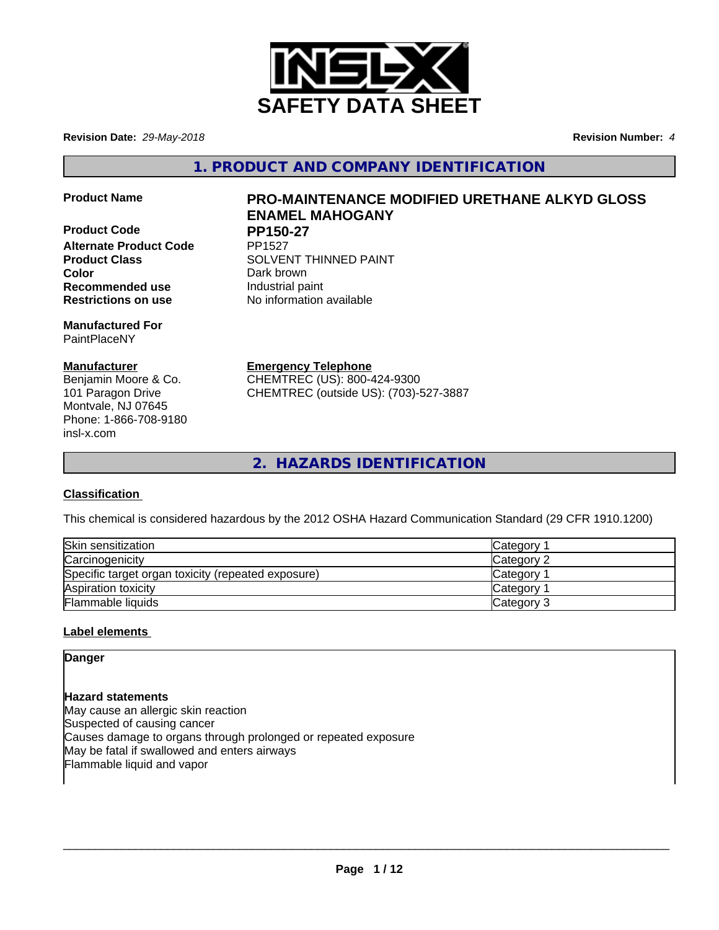

**Revision Date:** *29-May-2018* **Revision Number:** *4*

**1. PRODUCT AND COMPANY IDENTIFICATION**

**Product Code PP150-27 Alternate Product Code Color** Dark brown **Recommended use Industrial paint Restrictions on use** No information available

**Manufactured For** PaintPlaceNY

## **Manufacturer**

Benjamin Moore & Co. 101 Paragon Drive Montvale, NJ 07645 Phone: 1-866-708-9180 insl-x.com

# **Product Name PRO-MAINTENANCE MODIFIED URETHANE ALKYD GLOSS ENAMEL MAHOGANY**

**Product Class SOLVENT THINNED PAINT** 

**Emergency Telephone**

CHEMTREC (US): 800-424-9300 CHEMTREC (outside US): (703)-527-3887

**2. HAZARDS IDENTIFICATION**

## **Classification**

This chemical is considered hazardous by the 2012 OSHA Hazard Communication Standard (29 CFR 1910.1200)

| Skin sensitization                                 | Category        |
|----------------------------------------------------|-----------------|
| Carcinogenicity                                    | Category 2      |
| Specific target organ toxicity (repeated exposure) | <b>Category</b> |
| Aspiration toxicity                                | <b>Category</b> |
| Flammable liquids                                  | Category 3      |

## **Label elements**

**Danger**

**Hazard statements** May cause an allergic skin reaction Suspected of causing cancer Causes damage to organs through prolonged or repeated exposure May be fatal if swallowed and enters airways Flammable liquid and vapor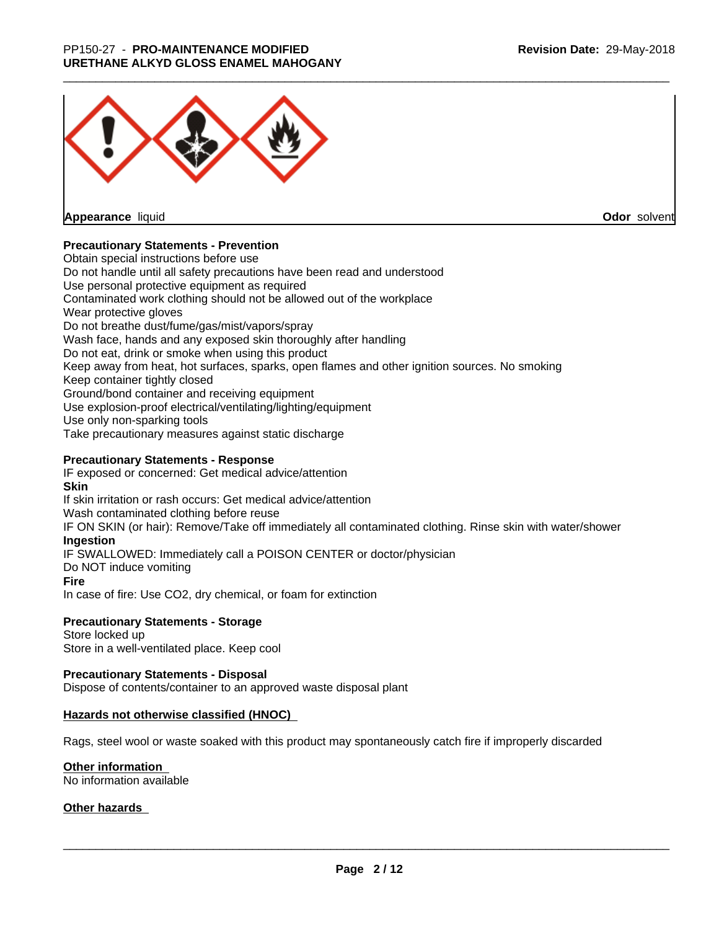

**Appearance** liquid

**Odor** solvent

## **Precautionary Statements - Prevention**

Obtain special instructions before use Do not handle until all safety precautions have been read and understood Use personal protective equipment as required Contaminated work clothing should not be allowed out of the workplace Wear protective gloves Do not breathe dust/fume/gas/mist/vapors/spray Wash face, hands and any exposed skin thoroughly after handling Do not eat, drink or smoke when using this product Keep away from heat, hot surfaces, sparks, open flames and other ignition sources. No smoking Keep container tightly closed Ground/bond container and receiving equipment Use explosion-proof electrical/ventilating/lighting/equipment Use only non-sparking tools Take precautionary measures against static discharge

## **Precautionary Statements - Response**

IF exposed or concerned: Get medical advice/attention **Skin** If skin irritation or rash occurs: Get medical advice/attention Wash contaminated clothing before reuse IF ON SKIN (or hair): Remove/Take off immediately all contaminated clothing. Rinse skin with water/shower **Ingestion** IF SWALLOWED: Immediately call a POISON CENTER or doctor/physician Do NOT induce vomiting **Fire** In case of fire: Use CO2, dry chemical, or foam for extinction

#### **Precautionary Statements - Storage**

Store locked up Store in a well-ventilated place. Keep cool

#### **Precautionary Statements - Disposal**

Dispose of contents/container to an approved waste disposal plant

#### **Hazards not otherwise classified (HNOC)**

Rags, steel wool or waste soaked with this product may spontaneously catch fire if improperly discarded

#### **Other information**

No information available

#### **Other hazards**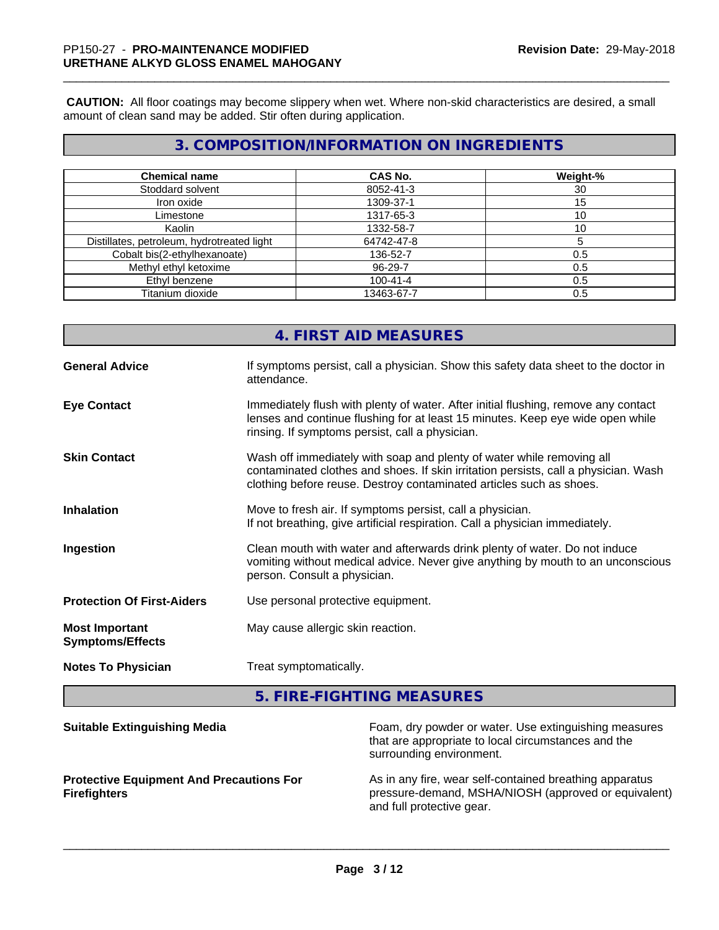**CAUTION:** All floor coatings may become slippery when wet. Where non-skid characteristics are desired, a small amount of clean sand may be added. Stir often during application.

# **3. COMPOSITION/INFORMATION ON INGREDIENTS**

| <b>Chemical name</b>                       | CAS No.        | Weight-% |
|--------------------------------------------|----------------|----------|
| Stoddard solvent                           | 8052-41-3      | 30       |
| Iron oxide                                 | 1309-37-1      | 15       |
| Limestone                                  | 1317-65-3      | 10       |
| Kaolin                                     | 1332-58-7      | 10       |
| Distillates, petroleum, hydrotreated light | 64742-47-8     |          |
| Cobalt bis(2-ethylhexanoate)               | 136-52-7       | 0.5      |
| Methyl ethyl ketoxime                      | 96-29-7        | 0.5      |
| Ethyl benzene                              | $100 - 41 - 4$ | 0.5      |
| Titanium dioxide                           | 13463-67-7     | 0.5      |

|                                                  | 4. FIRST AID MEASURES                                                                                                                                                                                                               |
|--------------------------------------------------|-------------------------------------------------------------------------------------------------------------------------------------------------------------------------------------------------------------------------------------|
| <b>General Advice</b>                            | If symptoms persist, call a physician. Show this safety data sheet to the doctor in<br>attendance.                                                                                                                                  |
| <b>Eye Contact</b>                               | Immediately flush with plenty of water. After initial flushing, remove any contact<br>lenses and continue flushing for at least 15 minutes. Keep eye wide open while<br>rinsing. If symptoms persist, call a physician.             |
| <b>Skin Contact</b>                              | Wash off immediately with soap and plenty of water while removing all<br>contaminated clothes and shoes. If skin irritation persists, call a physician. Wash<br>clothing before reuse. Destroy contaminated articles such as shoes. |
| <b>Inhalation</b>                                | Move to fresh air. If symptoms persist, call a physician.<br>If not breathing, give artificial respiration. Call a physician immediately.                                                                                           |
| Ingestion                                        | Clean mouth with water and afterwards drink plenty of water. Do not induce<br>vomiting without medical advice. Never give anything by mouth to an unconscious<br>person. Consult a physician.                                       |
| <b>Protection Of First-Aiders</b>                | Use personal protective equipment.                                                                                                                                                                                                  |
| <b>Most Important</b><br><b>Symptoms/Effects</b> | May cause allergic skin reaction.                                                                                                                                                                                                   |
| <b>Notes To Physician</b>                        | Treat symptomatically.                                                                                                                                                                                                              |

**5. FIRE-FIGHTING MEASURES**

| <b>Suitable Extinguishing Media</b>                                    | Foam, dry powder or water. Use extinguishing measures<br>that are appropriate to local circumstances and the<br>surrounding environment.     |
|------------------------------------------------------------------------|----------------------------------------------------------------------------------------------------------------------------------------------|
| <b>Protective Equipment And Precautions For</b><br><b>Firefighters</b> | As in any fire, wear self-contained breathing apparatus<br>pressure-demand, MSHA/NIOSH (approved or equivalent)<br>and full protective gear. |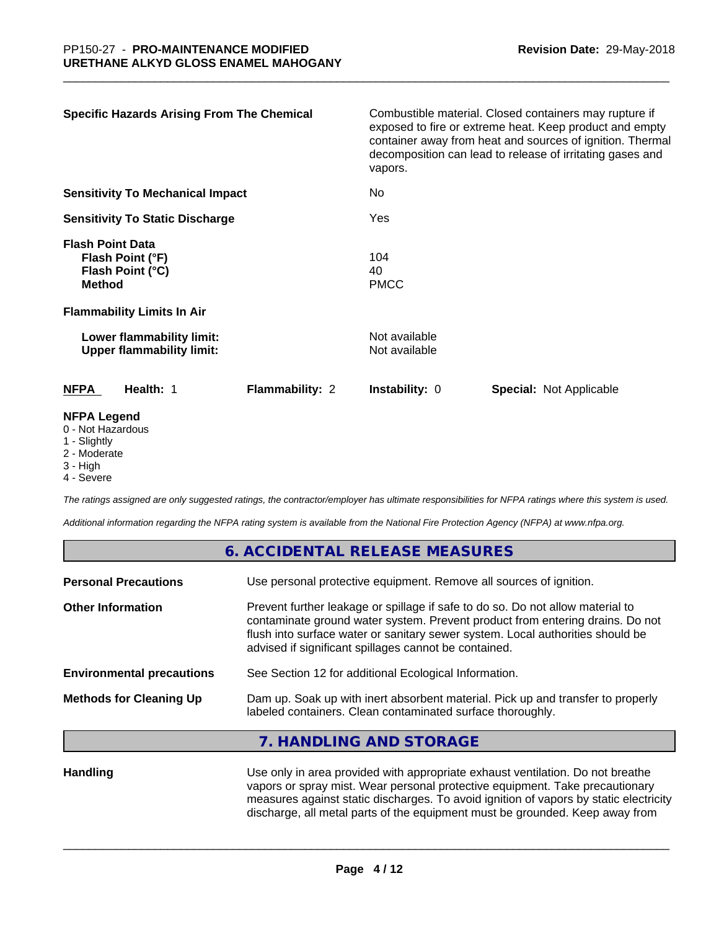| <b>Specific Hazards Arising From The Chemical</b>                                                                     | Combustible material. Closed containers may rupture if<br>exposed to fire or extreme heat. Keep product and empty<br>container away from heat and sources of ignition. Thermal<br>decomposition can lead to release of irritating gases and<br>vapors. |
|-----------------------------------------------------------------------------------------------------------------------|--------------------------------------------------------------------------------------------------------------------------------------------------------------------------------------------------------------------------------------------------------|
| <b>Sensitivity To Mechanical Impact</b>                                                                               | No                                                                                                                                                                                                                                                     |
| <b>Sensitivity To Static Discharge</b>                                                                                | Yes                                                                                                                                                                                                                                                    |
| <b>Flash Point Data</b><br>Flash Point (°F)<br>Flash Point (°C)<br><b>Method</b><br><b>Flammability Limits In Air</b> | 104<br>40<br><b>PMCC</b>                                                                                                                                                                                                                               |
| Lower flammability limit:<br><b>Upper flammability limit:</b>                                                         | Not available<br>Not available                                                                                                                                                                                                                         |
| <b>NFPA</b><br>Health: 1<br><b>Flammability: 2</b>                                                                    | <b>Instability: 0</b><br><b>Special: Not Applicable</b>                                                                                                                                                                                                |
| <b>NFPA Legend</b><br>0 - Not Hazardous<br>1 - Slightly                                                               |                                                                                                                                                                                                                                                        |

- 2 Moderate
- 
- 3 High
- 4 Severe

*The ratings assigned are only suggested ratings, the contractor/employer has ultimate responsibilities for NFPA ratings where this system is used.*

*Additional information regarding the NFPA rating system is available from the National Fire Protection Agency (NFPA) at www.nfpa.org.*

## **6. ACCIDENTAL RELEASE MEASURES**

| <b>Personal Precautions</b>      | Use personal protective equipment. Remove all sources of ignition.                                                                                                                                                                                                                                         |
|----------------------------------|------------------------------------------------------------------------------------------------------------------------------------------------------------------------------------------------------------------------------------------------------------------------------------------------------------|
| <b>Other Information</b>         | Prevent further leakage or spillage if safe to do so. Do not allow material to<br>contaminate ground water system. Prevent product from entering drains. Do not<br>flush into surface water or sanitary sewer system. Local authorities should be<br>advised if significant spillages cannot be contained. |
| <b>Environmental precautions</b> | See Section 12 for additional Ecological Information.                                                                                                                                                                                                                                                      |
| <b>Methods for Cleaning Up</b>   | Dam up. Soak up with inert absorbent material. Pick up and transfer to properly<br>labeled containers. Clean contaminated surface thoroughly.                                                                                                                                                              |
|                                  | HANDLING AND STODACE                                                                                                                                                                                                                                                                                       |

## **7. HANDLING AND STORAGE**

Handling **Handling** Use only in area provided with appropriate exhaust ventilation. Do not breathe vapors or spray mist. Wear personal protective equipment. Take precautionary measures against static discharges. To avoid ignition of vapors by static electricity discharge, all metal parts of the equipment must be grounded. Keep away from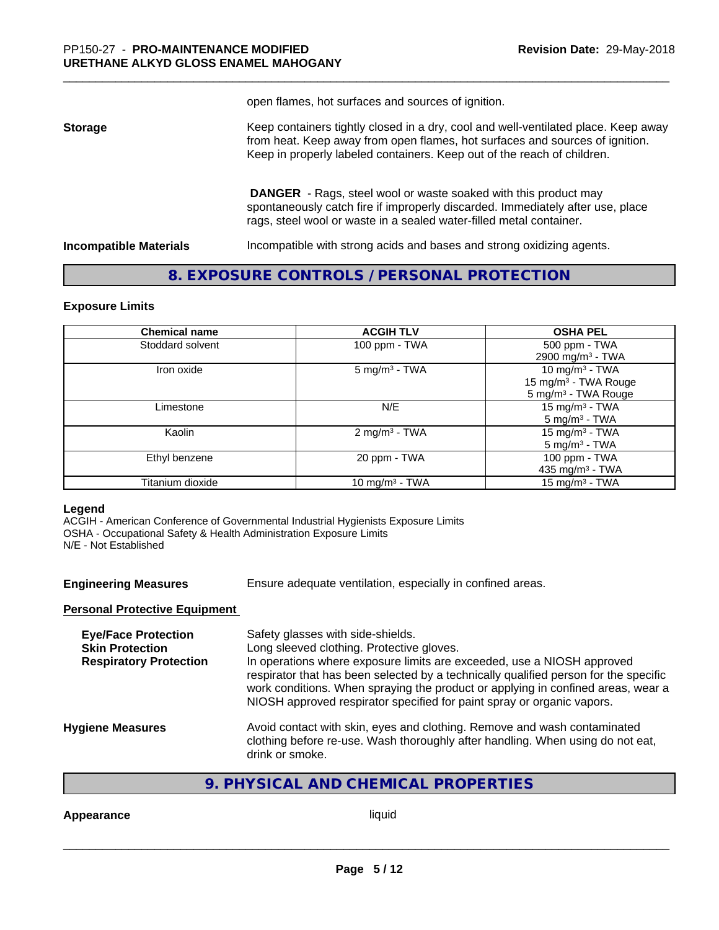open flames, hot surfaces and sources of ignition.

**Storage** Keep containers tightly closed in a dry, cool and well-ventilated place. Keep away from heat. Keep away from open flames, hot surfaces and sources of ignition. Keep in properly labeled containers. Keep out of the reach of children.

> **DANGER** - Rags, steel wool or waste soaked with this product may spontaneously catch fire if improperly discarded. Immediately after use, place rags, steel wool or waste in a sealed water-filled metal container.

**Incompatible Materials Incompatible with strong acids and bases and strong oxidizing agents.** 

## **8. EXPOSURE CONTROLS / PERSONAL PROTECTION**

#### **Exposure Limits**

| <b>Chemical name</b> | <b>ACGIH TLV</b>          | <b>OSHA PEL</b>                  |
|----------------------|---------------------------|----------------------------------|
| Stoddard solvent     | 100 ppm - TWA             | 500 ppm - TWA                    |
|                      |                           | 2900 mg/m <sup>3</sup> - TWA     |
| Iron oxide           | $5 \text{ mg/m}^3$ - TWA  | 10 mg/m <sup>3</sup> - TWA       |
|                      |                           | 15 mg/m <sup>3</sup> - TWA Rouge |
|                      |                           | 5 mg/m <sup>3</sup> - TWA Rouge  |
| Limestone            | N/E                       | 15 mg/m $3$ - TWA                |
|                      |                           | $5 \text{ mg/m}^3$ - TWA         |
| Kaolin               | 2 mg/m <sup>3</sup> - TWA | 15 mg/m $3$ - TWA                |
|                      |                           | $5 \text{ mg/m}^3$ - TWA         |
| Ethyl benzene        | 20 ppm - TWA              | 100 ppm - TWA                    |
|                      |                           | 435 mg/m <sup>3</sup> - TWA      |
| Titanium dioxide     | 10 mg/m $3$ - TWA         | 15 mg/m <sup>3</sup> - TWA       |

#### **Legend**

ACGIH - American Conference of Governmental Industrial Hygienists Exposure Limits OSHA - Occupational Safety & Health Administration Exposure Limits N/E - Not Established

**Engineering Measures** Ensure adequate ventilation, especially in confined areas.

#### **Personal Protective Equipment**

| Safety glasses with side-shields.<br>Long sleeved clothing. Protective gloves.<br>In operations where exposure limits are exceeded, use a NIOSH approved<br>respirator that has been selected by a technically qualified person for the specific<br>work conditions. When spraying the product or applying in confined areas, wear a<br>NIOSH approved respirator specified for paint spray or organic vapors. |
|----------------------------------------------------------------------------------------------------------------------------------------------------------------------------------------------------------------------------------------------------------------------------------------------------------------------------------------------------------------------------------------------------------------|
| Avoid contact with skin, eyes and clothing. Remove and wash contaminated<br>clothing before re-use. Wash thoroughly after handling. When using do not eat,<br>drink or smoke.                                                                                                                                                                                                                                  |
|                                                                                                                                                                                                                                                                                                                                                                                                                |

## **9. PHYSICAL AND CHEMICAL PROPERTIES**

#### **Appearance** liquid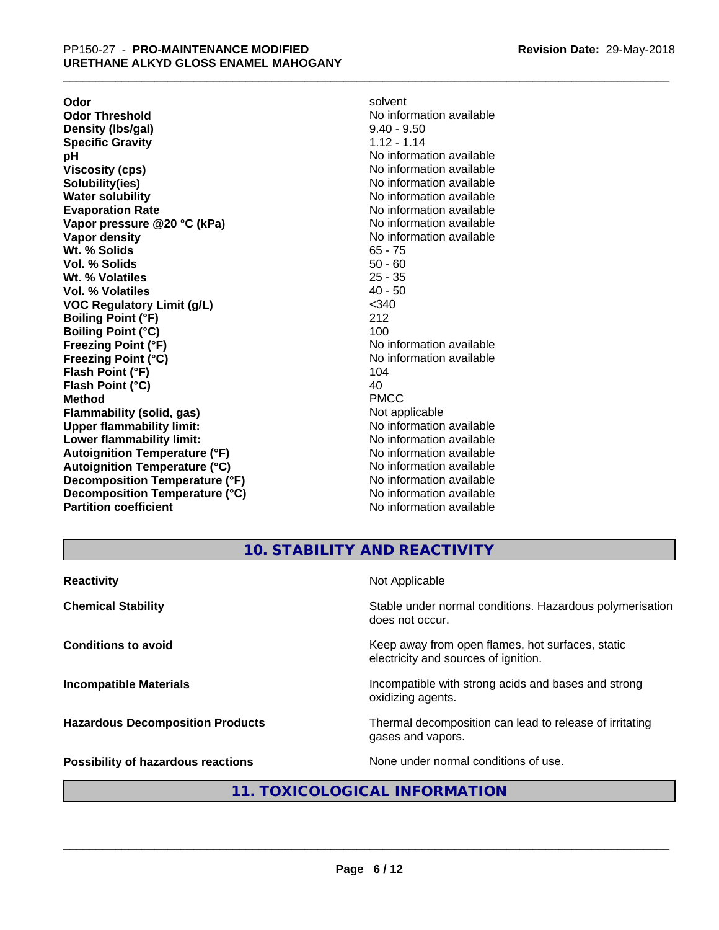**Odor** solvent **Odor Threshold**<br> **Density (Ibs/gal)**<br> **Density (Ibs/gal)**<br> **No information available**<br>  $9.40 - 9.50$ **Density (Ibs/gal)** 9.40 - 9.50<br> **Specific Gravity** 1.12 - 1.14 **Specific Gravity pH** No information available **Viscosity (cps)** No information available **Solubility(ies)** No information available **Water solubility** No information available **Evaporation Rate No information available No information available Vapor pressure @20 °C (kPa)** No information available **Vapor density No information available No** information available **Wt. % Solids** 65 - 75 **Vol. % Solids** 50 - 60<br> **Wt. % Volatiles** 25 - 35 **Wt. % Volatiles** 25 - 35<br> **Vol. % Volatiles** 25 - 35 **Vol. % Volatiles VOC Regulatory Limit (g/L)** <340 **Boiling Point (°F)** 212 **Boiling Point (°C)** 100 **Freezing Point (°F)**<br> **Freezing Point (°C)**<br> **Freezing Point (°C)**<br> **No information available Flash Point (°F)** 104 **Flash Point**  $(^{\circ}C)$  40 **Method** PMCC **Flammability (solid, gas)**<br> **Constrained Upper flammability limit:**<br>
Upper flammability limit:<br>  $\blacksquare$ No information available **Upper flammability limit:**<br> **Lower flammability limit:** No information available<br>
No information available **Lower flammability limit: Autoignition Temperature (°F)** No information available **Autoignition Temperature (°C)** No information available **Decomposition Temperature (°F)** No information available **Decomposition Temperature (°C)** No information available **Partition coefficient Contract Community No information available** 

**Freezing Point (°C)** No information available

# **10. STABILITY AND REACTIVITY**

| <b>Reactivity</b>                         | Not Applicable                                                                           |
|-------------------------------------------|------------------------------------------------------------------------------------------|
| <b>Chemical Stability</b>                 | Stable under normal conditions. Hazardous polymerisation<br>does not occur.              |
| <b>Conditions to avoid</b>                | Keep away from open flames, hot surfaces, static<br>electricity and sources of ignition. |
| <b>Incompatible Materials</b>             | Incompatible with strong acids and bases and strong<br>oxidizing agents.                 |
| <b>Hazardous Decomposition Products</b>   | Thermal decomposition can lead to release of irritating<br>gases and vapors.             |
| <b>Possibility of hazardous reactions</b> | None under normal conditions of use.                                                     |

## **11. TOXICOLOGICAL INFORMATION**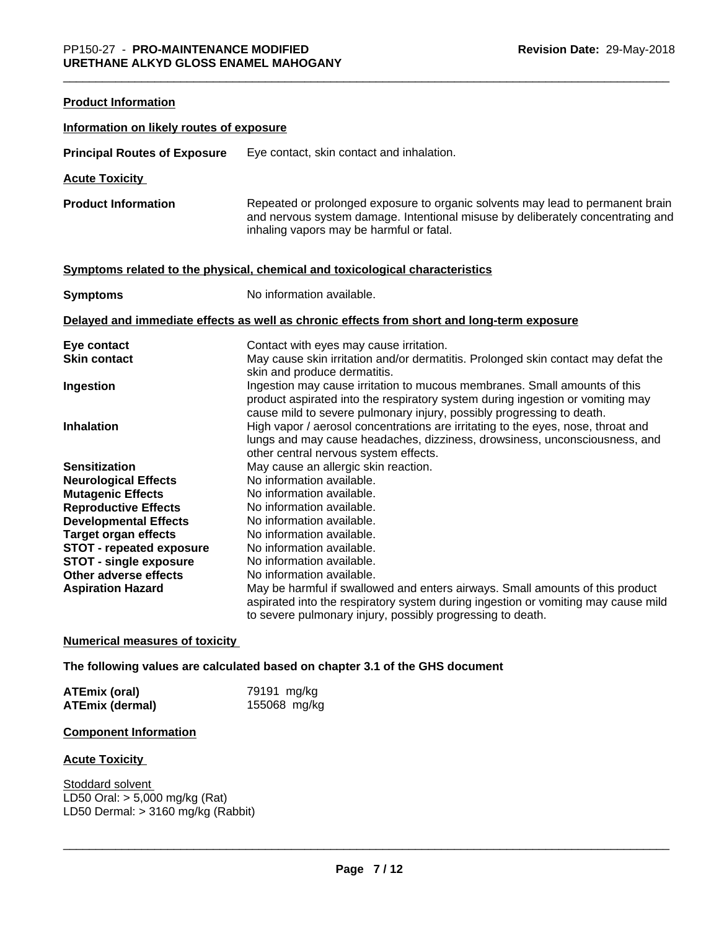**Product Information**

| Information on likely routes of exposure |                                                                                                                                                                                                                                      |
|------------------------------------------|--------------------------------------------------------------------------------------------------------------------------------------------------------------------------------------------------------------------------------------|
| <b>Principal Routes of Exposure</b>      | Eye contact, skin contact and inhalation.                                                                                                                                                                                            |
| <b>Acute Toxicity</b>                    |                                                                                                                                                                                                                                      |
| <b>Product Information</b>               | Repeated or prolonged exposure to organic solvents may lead to permanent brain<br>and nervous system damage. Intentional misuse by deliberately concentrating and<br>inhaling vapors may be harmful or fatal.                        |
|                                          | Symptoms related to the physical, chemical and toxicological characteristics                                                                                                                                                         |
| <b>Symptoms</b>                          | No information available.                                                                                                                                                                                                            |
|                                          | Delayed and immediate effects as well as chronic effects from short and long-term exposure                                                                                                                                           |
| Eye contact                              | Contact with eyes may cause irritation.                                                                                                                                                                                              |
| <b>Skin contact</b>                      | May cause skin irritation and/or dermatitis. Prolonged skin contact may defat the<br>skin and produce dermatitis.                                                                                                                    |
| Ingestion                                | Ingestion may cause irritation to mucous membranes. Small amounts of this<br>product aspirated into the respiratory system during ingestion or vomiting may<br>cause mild to severe pulmonary injury, possibly progressing to death. |
| <b>Inhalation</b>                        | High vapor / aerosol concentrations are irritating to the eyes, nose, throat and<br>lungs and may cause headaches, dizziness, drowsiness, unconsciousness, and<br>other central nervous system effects.                              |
| <b>Sensitization</b>                     | May cause an allergic skin reaction.                                                                                                                                                                                                 |
| <b>Neurological Effects</b>              | No information available.                                                                                                                                                                                                            |
| <b>Mutagenic Effects</b>                 | No information available.                                                                                                                                                                                                            |
| <b>Reproductive Effects</b>              | No information available.                                                                                                                                                                                                            |
| <b>Developmental Effects</b>             | No information available.                                                                                                                                                                                                            |
| <b>Target organ effects</b>              | No information available.                                                                                                                                                                                                            |
| <b>STOT - repeated exposure</b>          | No information available.                                                                                                                                                                                                            |
| <b>STOT - single exposure</b>            | No information available.                                                                                                                                                                                                            |
| Other adverse effects                    | No information available.                                                                                                                                                                                                            |
| <b>Aspiration Hazard</b>                 | May be harmful if swallowed and enters airways. Small amounts of this product<br>aspirated into the respiratory system during ingestion or vomiting may cause mild<br>to severe pulmonary injury, possibly progressing to death.     |

## **Numerical measures of toxicity**

## **The following values are calculated based on chapter 3.1 of the GHS document**

| ATEmix (oral)   | 79191 mg/kg  |
|-----------------|--------------|
| ATEmix (dermal) | 155068 mg/kg |

## **Component Information**

#### **Acute Toxicity**

Stoddard solvent LD50 Oral: > 5,000 mg/kg (Rat) LD50 Dermal: > 3160 mg/kg (Rabbit)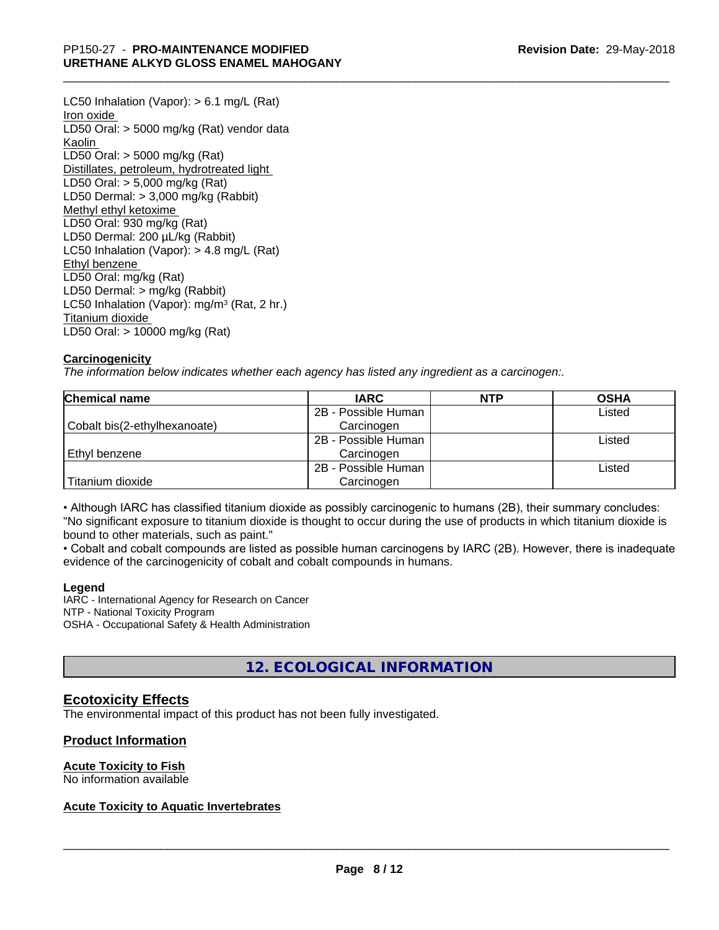LC50 Inhalation (Vapor): > 6.1 mg/L (Rat) Iron oxide LD50 Oral: > 5000 mg/kg (Rat) vendor data Kaolin LD50 Oral: > 5000 mg/kg (Rat) Distillates, petroleum, hydrotreated light LD50 Oral: > 5,000 mg/kg (Rat) LD50 Dermal: > 3,000 mg/kg (Rabbit) Methyl ethyl ketoxime LD50 Oral: 930 mg/kg (Rat) LD50 Dermal: 200 µL/kg (Rabbit) LC50 Inhalation (Vapor): > 4.8 mg/L (Rat) Ethyl benzene LD50 Oral: mg/kg (Rat) LD50 Dermal: > mg/kg (Rabbit) LC50 Inhalation (Vapor): mg/m<sup>3</sup> (Rat, 2 hr.) Titanium dioxide LD50 Oral: > 10000 mg/kg (Rat)

## **Carcinogenicity**

*The information below indicateswhether each agency has listed any ingredient as a carcinogen:.*

| Chemical name                | <b>IARC</b>         | <b>NTP</b> | <b>OSHA</b> |
|------------------------------|---------------------|------------|-------------|
|                              | 2B - Possible Human |            | Listed      |
| Cobalt bis(2-ethylhexanoate) | Carcinogen          |            |             |
|                              | 2B - Possible Human |            | Listed      |
| Ethyl benzene                | Carcinogen          |            |             |
|                              | 2B - Possible Human |            | Listed      |
| Titanium dioxide             | Carcinogen          |            |             |

• Although IARC has classified titanium dioxide as possibly carcinogenic to humans (2B), their summary concludes: "No significant exposure to titanium dioxide is thought to occur during the use of products in which titanium dioxide is bound to other materials, such as paint."

• Cobalt and cobalt compounds are listed as possible human carcinogens by IARC (2B). However, there is inadequate evidence of the carcinogenicity of cobalt and cobalt compounds in humans.

#### **Legend**

IARC - International Agency for Research on Cancer NTP - National Toxicity Program OSHA - Occupational Safety & Health Administration

## **12. ECOLOGICAL INFORMATION**

## **Ecotoxicity Effects**

The environmental impact of this product has not been fully investigated.

## **Product Information**

#### **Acute Toxicity to Fish**

No information available

## **Acute Toxicity to Aquatic Invertebrates**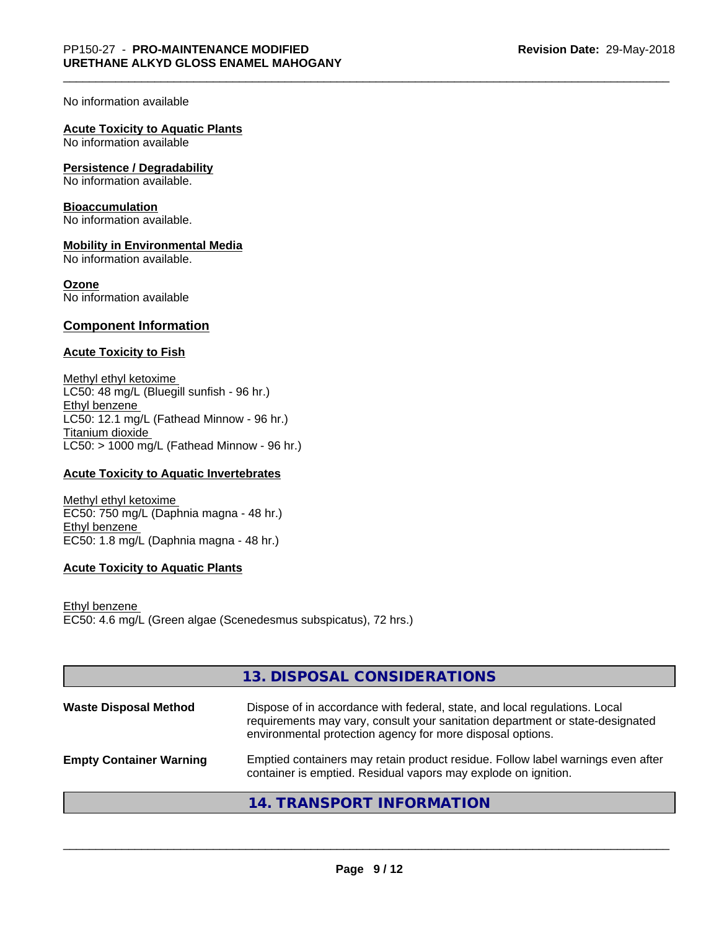#### No information available

## **Acute Toxicity to Aquatic Plants**

No information available

#### **Persistence / Degradability**

No information available.

#### **Bioaccumulation**

No information available.

#### **Mobility in Environmental Media**

No information available.

#### **Ozone**

No information available

## **Component Information**

#### **Acute Toxicity to Fish**

Methyl ethyl ketoxime LC50: 48 mg/L (Bluegill sunfish - 96 hr.) Ethyl benzene LC50: 12.1 mg/L (Fathead Minnow - 96 hr.) Titanium dioxide  $LC50:$  > 1000 mg/L (Fathead Minnow - 96 hr.)

#### **Acute Toxicity to Aquatic Invertebrates**

Methyl ethyl ketoxime EC50: 750 mg/L (Daphnia magna - 48 hr.) Ethyl benzene EC50: 1.8 mg/L (Daphnia magna - 48 hr.)

## **Acute Toxicity to Aquatic Plants**

Ethyl benzene EC50: 4.6 mg/L (Green algae (Scenedesmus subspicatus), 72 hrs.)

|                                | 13. DISPOSAL CONSIDERATIONS                                                                                                                                                                                               |
|--------------------------------|---------------------------------------------------------------------------------------------------------------------------------------------------------------------------------------------------------------------------|
| <b>Waste Disposal Method</b>   | Dispose of in accordance with federal, state, and local regulations. Local<br>requirements may vary, consult your sanitation department or state-designated<br>environmental protection agency for more disposal options. |
| <b>Empty Container Warning</b> | Emptied containers may retain product residue. Follow label warnings even after<br>container is emptied. Residual vapors may explode on ignition.                                                                         |
|                                | 14. TRANSPORT INFORMATION                                                                                                                                                                                                 |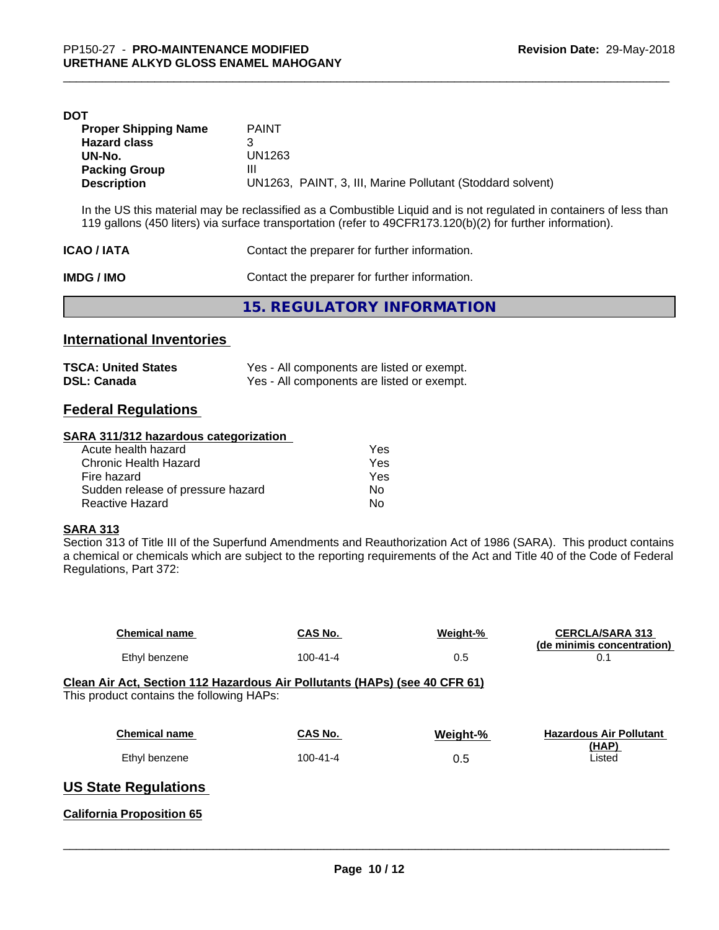| DOT                         |                                                            |
|-----------------------------|------------------------------------------------------------|
| <b>Proper Shipping Name</b> | <b>PAINT</b>                                               |
| <b>Hazard class</b>         | 3                                                          |
| UN-No.                      | UN1263                                                     |
| <b>Packing Group</b>        | Ш                                                          |
| <b>Description</b>          | UN1263, PAINT, 3, III, Marine Pollutant (Stoddard solvent) |
|                             |                                                            |

In the US this material may be reclassified as a Combustible Liquid and is not regulated in containers of less than 119 gallons (450 liters) via surface transportation (refer to 49CFR173.120(b)(2) for further information).

| <b>ICAO/IATA</b> | Contact the preparer for further information. |
|------------------|-----------------------------------------------|
| IMDG / IMO       | Contact the preparer for further information. |
|                  | 15. REGULATORY INFORMATION                    |

## **International Inventories**

| <b>TSCA: United States</b> | Yes - All components are listed or exempt. |
|----------------------------|--------------------------------------------|
| <b>DSL: Canada</b>         | Yes - All components are listed or exempt. |

## **Federal Regulations**

## **SARA 311/312 hazardous categorization**

| Acute health hazard               | Yes |
|-----------------------------------|-----|
| Chronic Health Hazard             | Yes |
| Fire hazard                       | Yes |
| Sudden release of pressure hazard | Nο  |
| Reactive Hazard                   | N٥  |

## **SARA 313**

Section 313 of Title III of the Superfund Amendments and Reauthorization Act of 1986 (SARA). This product contains a chemical or chemicals which are subject to the reporting requirements of the Act and Title 40 of the Code of Federal Regulations, Part 372:

| <b>Chemical name</b>                                                                                                    | <b>CAS No.</b> | Weight-% | <b>CERCLA/SARA 313</b><br>(de minimis concentration) |
|-------------------------------------------------------------------------------------------------------------------------|----------------|----------|------------------------------------------------------|
| Ethyl benzene                                                                                                           | $100 - 41 - 4$ | 0.5      | 0.1                                                  |
| Clean Air Act, Section 112 Hazardous Air Pollutants (HAPs) (see 40 CFR 61)<br>This product contains the following HAPs: |                |          |                                                      |
| <b>Chemical name</b>                                                                                                    | CAS No.        | Weight-% | <b>Hazardous Air Pollutant</b>                       |
| Ethyl benzene                                                                                                           | $100 - 41 - 4$ | 0.5      | (HAP)<br>Listed                                      |
| <b>US State Regulations</b>                                                                                             |                |          |                                                      |
| <b>California Proposition 65</b>                                                                                        |                |          |                                                      |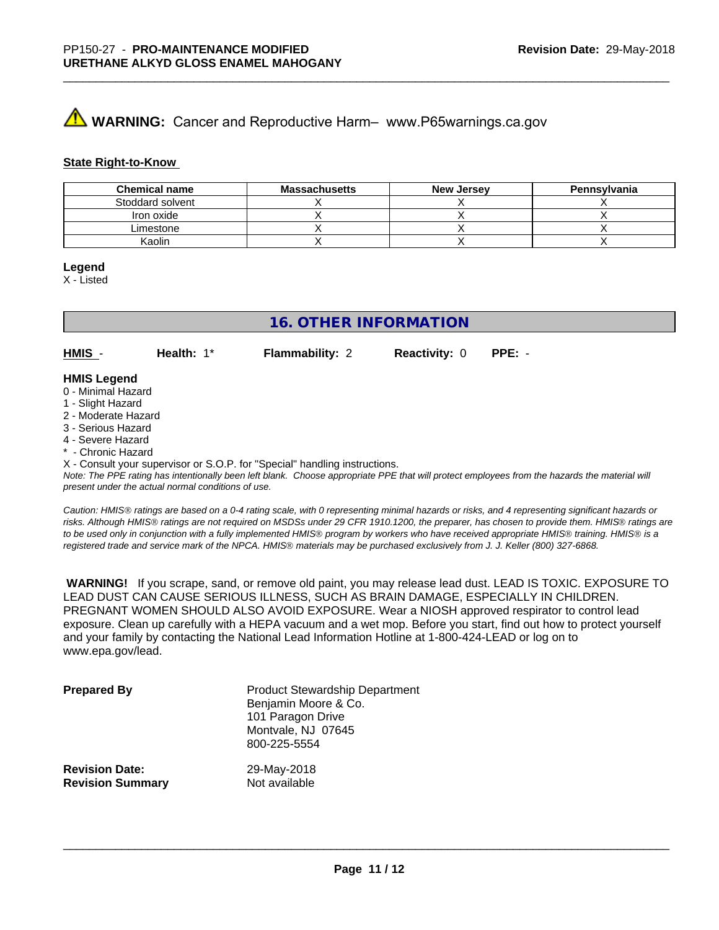# **A** WARNING: Cancer and Reproductive Harm– www.P65warnings.ca.gov

#### **State Right-to-Know**

| <b>Chemical name</b> | <b>Massachusetts</b> | New Jersey | Pennsylvania |
|----------------------|----------------------|------------|--------------|
| Stoddard solvent     |                      |            |              |
| Iron oxide           |                      |            |              |
| Limestone            |                      |            |              |
| Kaolin               |                      |            |              |

#### **Legend**

X - Listed

## **16. OTHER INFORMATION**

**HMIS** - **Health:** 1\* **Flammability:** 2 **Reactivity:** 0 **PPE:** -

## **HMIS Legend**

- 0 Minimal Hazard
- 1 Slight Hazard
- 2 Moderate Hazard
- 3 Serious Hazard
- 4 Severe Hazard
- \* Chronic Hazard

X - Consult your supervisor or S.O.P. for "Special" handling instructions.

*Note: The PPE rating has intentionally been left blank. Choose appropriate PPE that will protect employees from the hazards the material will present under the actual normal conditions of use.*

*Caution: HMISÒ ratings are based on a 0-4 rating scale, with 0 representing minimal hazards or risks, and 4 representing significant hazards or risks. Although HMISÒ ratings are not required on MSDSs under 29 CFR 1910.1200, the preparer, has chosen to provide them. HMISÒ ratings are to be used only in conjunction with a fully implemented HMISÒ program by workers who have received appropriate HMISÒ training. HMISÒ is a registered trade and service mark of the NPCA. HMISÒ materials may be purchased exclusively from J. J. Keller (800) 327-6868.*

 **WARNING!** If you scrape, sand, or remove old paint, you may release lead dust. LEAD IS TOXIC. EXPOSURE TO LEAD DUST CAN CAUSE SERIOUS ILLNESS, SUCH AS BRAIN DAMAGE, ESPECIALLY IN CHILDREN. PREGNANT WOMEN SHOULD ALSO AVOID EXPOSURE.Wear a NIOSH approved respirator to control lead exposure. Clean up carefully with a HEPA vacuum and a wet mop. Before you start, find out how to protect yourself and your family by contacting the National Lead Information Hotline at 1-800-424-LEAD or log on to www.epa.gov/lead.

| <b>Prepared By</b>      | <b>Product Stewardship Department</b><br>Benjamin Moore & Co.<br>101 Paragon Drive<br>Montvale, NJ 07645<br>800-225-5554 |
|-------------------------|--------------------------------------------------------------------------------------------------------------------------|
| <b>Revision Date:</b>   | 29-May-2018                                                                                                              |
| <b>Revision Summary</b> | Not available                                                                                                            |